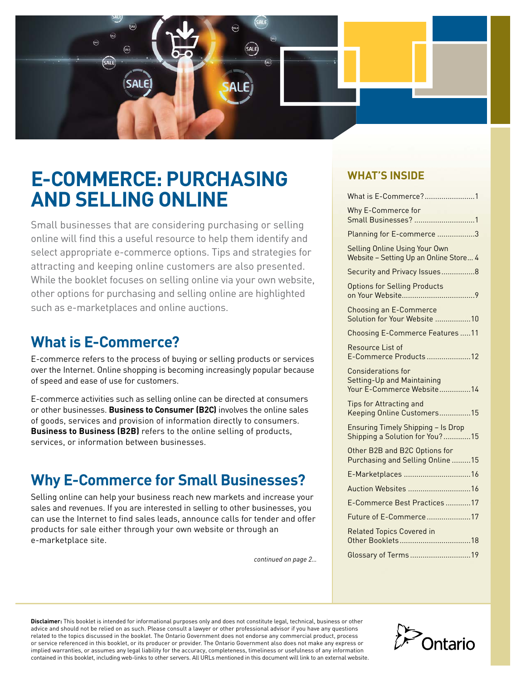

# **E-COMMERCE: PURCHASING AND SELLING ONLINE**

Small businesses that are considering purchasing or selling online will find this a useful resource to help them identify and select appropriate e-commerce options. Tips and strategies for attracting and keeping online customers are also presented. While the booklet focuses on selling online via your own website, other options for purchasing and selling online are highlighted such as e-marketplaces and online auctions.

# **What is E-Commerce?**

E-commerce refers to the process of buying or selling products or services over the Internet. Online shopping is becoming increasingly popular because of speed and ease of use for customers.

E-commerce activities such as selling online can be directed at consumers or other businesses. **Business to Consumer (B2C)** involves the online sales of goods, services and provision of information directly to consumers. **Business to Business (B2B)** refers to the online selling of products, services, or information between businesses.

# **Why E-Commerce for Small Businesses?**

Selling online can help your business reach new markets and increase your sales and revenues. If you are interested in selling to other businesses, you can use the Internet to find sales leads, announce calls for tender and offer products for sale either through your own website or through an e-marketplace site.

*continued on page 2…*

# **WHAT'S INSIDE**

| What is E-Commerce?1                                                                 |
|--------------------------------------------------------------------------------------|
| Why E-Commerce for<br>Small Businesses? 1                                            |
| Planning for E-commerce 3                                                            |
| Selling Online Using Your Own<br>Website - Setting Up an Online Store 4              |
| Security and Privacy Issues8                                                         |
| <b>Options for Selling Products</b>                                                  |
| <b>Choosing an E-Commerce</b><br>Solution for Your Website 10                        |
| <b>Choosing E-Commerce Features11</b>                                                |
| Resource List of<br>E-Commerce Products 12                                           |
| <b>Considerations for</b><br>Setting-Up and Maintaining<br>Your E-Commerce Website14 |
| <b>Tips for Attracting and</b><br>Keeping Online Customers15                         |
| <b>Ensuring Timely Shipping - Is Drop</b><br>Shipping a Solution for You?15          |
| Other B2B and B2C Options for<br>Purchasing and Selling Online 15                    |
| E-Marketplaces 16                                                                    |
| Auction Websites 16                                                                  |
| E-Commerce Best Practices 17                                                         |
| Future of E-Commerce17                                                               |
| <b>Related Topics Covered in</b>                                                     |
| Glossary of Terms19                                                                  |

**Disclaimer:** This booklet is intended for informational purposes only and does not constitute legal, technical, business or other advice and should not be relied on as such. Please consult a lawyer or other professional advisor if you have any questions related to the topics discussed in the booklet. The Ontario Government does not endorse any commercial product, process or service referenced in this booklet, or its producer or provider. The Ontario Government also does not make any express or implied warranties, or assumes any legal liability for the accuracy, completeness, timeliness or usefulness of any information contained in this booklet, including web-links to other servers. All URLs mentioned in this document will link to an external website.

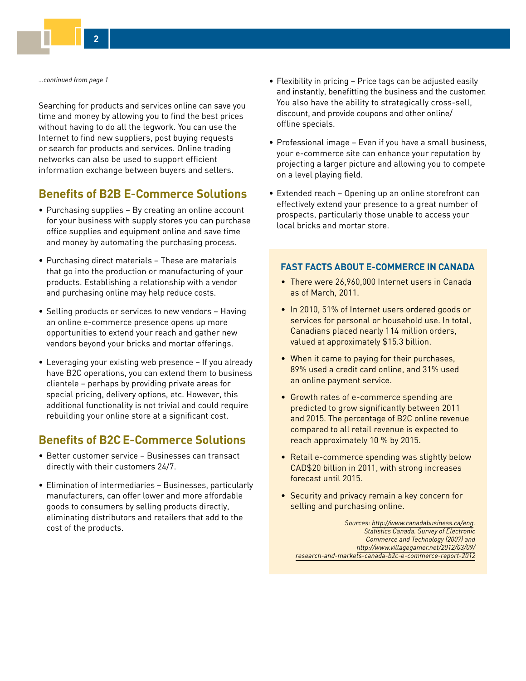*…continued from page 1*

Searching for products and services online can save you time and money by allowing you to find the best prices without having to do all the legwork. You can use the Internet to find new suppliers, post buying requests or search for products and services. Online trading networks can also be used to support efficient information exchange between buyers and sellers.

# **Benefits of B2B E-Commerce Solutions**

- Purchasing supplies By creating an online account for your business with supply stores you can purchase office supplies and equipment online and save time and money by automating the purchasing process.
- Purchasing direct materials These are materials that go into the production or manufacturing of your products. Establishing a relationship with a vendor and purchasing online may help reduce costs.
- Selling products or services to new vendors Having an online e-commerce presence opens up more opportunities to extend your reach and gather new vendors beyond your bricks and mortar offerings.
- Leveraging your existing web presence If you already have B2C operations, you can extend them to business clientele – perhaps by providing private areas for special pricing, delivery options, etc. However, this additional functionality is not trivial and could require rebuilding your online store at a significant cost.

# **Benefits of B2C E-Commerce Solutions**

- Better customer service Businesses can transact directly with their customers 24/7.
- Elimination of intermediaries Businesses, particularly manufacturers, can offer lower and more affordable goods to consumers by selling products directly, eliminating distributors and retailers that add to the cost of the products.
- Flexibility in pricing Price tags can be adjusted easily and instantly, benefitting the business and the customer. You also have the ability to strategically cross-sell, discount, and provide coupons and other online/ offline specials.
- Professional image Even if you have a small business, your e-commerce site can enhance your reputation by projecting a larger picture and allowing you to compete on a level playing field.
- Extended reach Opening up an online storefront can effectively extend your presence to a great number of prospects, particularly those unable to access your local bricks and mortar store.

### **FAST FACTS ABOUT E-COMMERCE IN CANADA**

- There were 26,960,000 Internet users in Canada as of March, 2011.
- In 2010, 51% of Internet users ordered goods or services for personal or household use. In total, Canadians placed nearly 114 million orders, valued at approximately \$15.3 billion.
- When it came to paying for their purchases, 89% used a credit card online, and 31% used an online payment service.
- Growth rates of e-commerce spending are predicted to grow significantly between 2011 and 2015. The percentage of B2C online revenue compared to all retail revenue is expected to reach approximately 10 % by 2015.
- Retail e-commerce spending was slightly below CAD\$20 billion in 2011, with strong increases forecast until 2015.
- Security and privacy remain a key concern for selling and purchasing online.

*Sources: [http://www.canadabusiness.ca/eng](http://www.canadabusiness.ca/eng/). Statistics Canada. Survey of Electronic Commerce and Technology (2007) and http://www.villagegamer.net/2012/03/09/ [research-and-markets-canada-b2c-e-commerce-report-2012](http://www.villagegamer.net/2012/03/09/research-and-markets-canada-b2c-e-commerce-report-2012)*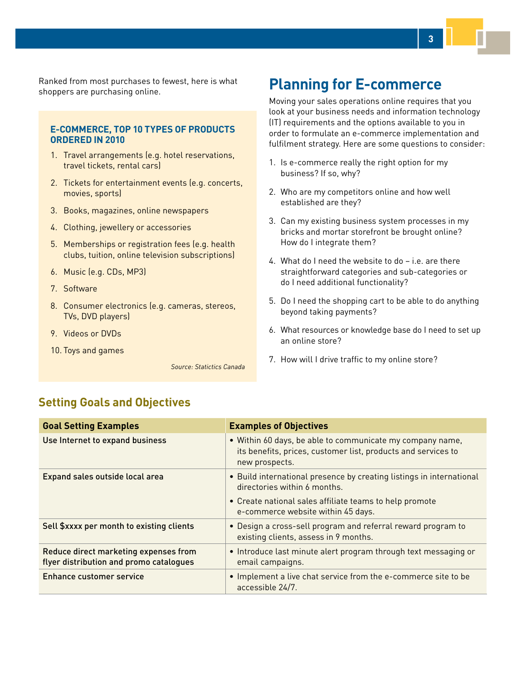<span id="page-2-0"></span>Ranked from most purchases to fewest, here is what shoppers are purchasing online.

### **E-COMMERCE, TOP 10 TYPES OF PRODUCTS ORDERED IN 2010**

- 1. Travel arrangements (e.g. hotel reservations, travel tickets, rental cars)
- 2. Tickets for entertainment events (e.g. concerts, movies, sports)
- 3. Books, magazines, online newspapers
- 4. Clothing, jewellery or accessories
- 5. Memberships or registration fees (e.g. health clubs, tuition, online television subscriptions)
- 6. Music (e.g. CDs, MP3)
- 7. Software
- 8. Consumer electronics (e.g. cameras, stereos, TVs, DVD players)
- 9. Videos or DVDs
- 10. Toys and games

*Source: Statictics Canada*

# **Planning for E-commerce**

Moving your sales operations online requires that you look at your business needs and information technology (IT) requirements and the options available to you in order to formulate an e-commerce implementation and fulfilment strategy. Here are some questions to consider:

- 1. Is e-commerce really the right option for my business? If so, why?
- 2. Who are my competitors online and how well established are they?
- 3. Can my existing business system processes in my bricks and mortar storefront be brought online? How do I integrate them?
- 4. What do I need the website to do i.e. are there straightforward categories and sub-categories or do I need additional functionality?
- 5. Do I need the shopping cart to be able to do anything beyond taking payments?
- 6. What resources or knowledge base do I need to set up an online store?
- 7. How will I drive traffic to my online store?

# **Setting Goals and Objectives**

| <b>Goal Setting Examples</b>                                                     | <b>Examples of Objectives</b>                                                                                                                |
|----------------------------------------------------------------------------------|----------------------------------------------------------------------------------------------------------------------------------------------|
| Use Internet to expand business                                                  | • Within 60 days, be able to communicate my company name,<br>its benefits, prices, customer list, products and services to<br>new prospects. |
| Expand sales outside local area                                                  | • Build international presence by creating listings in international<br>directories within 6 months.                                         |
|                                                                                  | • Create national sales affiliate teams to help promote<br>e-commerce website within 45 days.                                                |
| Sell \$xxxx per month to existing clients                                        | . Design a cross-sell program and referral reward program to<br>existing clients, assess in 9 months.                                        |
| Reduce direct marketing expenses from<br>flyer distribution and promo catalogues | • Introduce last minute alert program through text messaging or<br>email campaigns.                                                          |
| <b>Enhance customer service</b>                                                  | • Implement a live chat service from the e-commerce site to be<br>accessible 24/7.                                                           |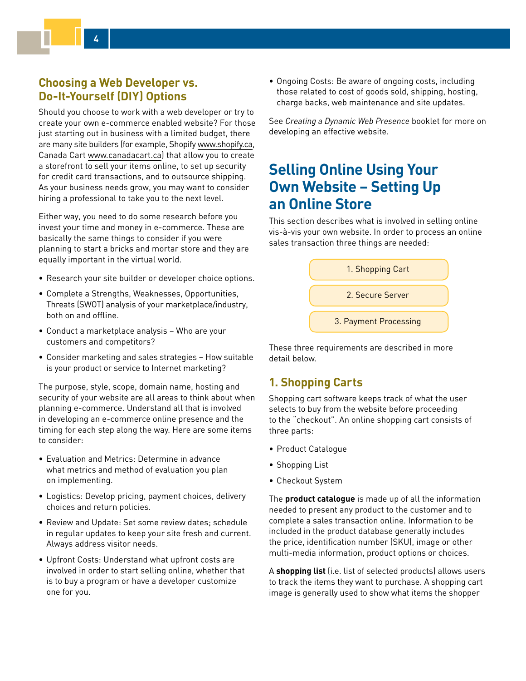# <span id="page-3-0"></span>**Choosing a Web Developer vs. Do-It-Yourself (DIY) Options**

Should you choose to work with a web developer or try to create your own e-commerce enabled website? For those just starting out in business with a limited budget, there are many site builders (for example, Shopify [www.shopify.ca,](http://www.shopify.ca) Canada Cart [www.canadacart.ca](http://www.canadacart.ca)) that allow you to create a storefront to sell your items online, to set up security for credit card transactions, and to outsource shipping. As your business needs grow, you may want to consider hiring a professional to take you to the next level.

Either way, you need to do some research before you invest your time and money in e-commerce. These are basically the same things to consider if you were planning to start a bricks and mortar store and they are equally important in the virtual world.

- Research your site builder or developer choice options.
- Complete a Strengths, Weaknesses, Opportunities, Threats (SWOT) analysis of your marketplace/industry, both on and offline.
- Conduct a marketplace analysis Who are your customers and competitors?
- Consider marketing and sales strategies How suitable is your product or service to Internet marketing?

The purpose, style, scope, domain name, hosting and security of your website are all areas to think about when planning e-commerce. Understand all that is involved in developing an e-commerce online presence and the timing for each step along the way. Here are some items to consider:

- Evaluation and Metrics: Determine in advance what metrics and method of evaluation you plan on implementing.
- Logistics: Develop pricing, payment choices, delivery choices and return policies.
- Review and Update: Set some review dates; schedule in regular updates to keep your site fresh and current. Always address visitor needs.
- Upfront Costs: Understand what upfront costs are involved in order to start selling online, whether that is to buy a program or have a developer customize one for you.

• Ongoing Costs: Be aware of ongoing costs, including those related to cost of goods sold, shipping, hosting, charge backs, web maintenance and site updates.

See *Creating a Dynamic Web Presence* booklet for more on developing an effective website.

# **Selling Online Using Your Own Website – Setting Up an Online Store**

This section describes what is involved in selling online vis-à-vis your own website. In order to process an online sales transaction three things are needed:



These three requirements are described in more detail below.

# **1. Shopping Carts**

Shopping cart software keeps track of what the user selects to buy from the website before proceeding to the "checkout". An online shopping cart consists of three parts:

- Product Catalogue
- Shopping List
- Checkout System

The **product catalogue** is made up of all the information needed to present any product to the customer and to complete a sales transaction online. Information to be included in the product database generally includes the price, identification number (SKU), image or other multi-media information, product options or choices.

A **shopping list** (i.e. list of selected products) allows users to track the items they want to purchase. A shopping cart image is generally used to show what items the shopper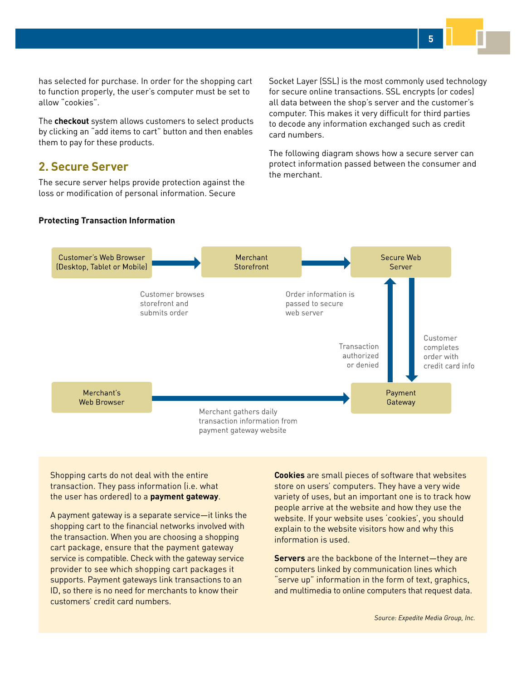**5**

has selected for purchase. In order for the shopping cart to function properly, the user's computer must be set to allow "cookies".

The **checkout** system allows customers to select products by clicking an "add items to cart" button and then enables them to pay for these products.

# **2. Secure Server**

The secure server helps provide protection against the loss or modification of personal information. Secure

Socket Layer (SSL) is the most commonly used technology for secure online transactions. SSL encrypts (or codes) all data between the shop's server and the customer's computer. This makes it very difficult for third parties to decode any information exchanged such as credit card numbers.

The following diagram shows how a secure server can protect information passed between the consumer and the merchant.

### **Protecting Transaction Information**



Shopping carts do not deal with the entire transaction. They pass information (i.e. what the user has ordered) to a **payment gateway**.

A payment gateway is a separate service—it links the shopping cart to the financial networks involved with the transaction. When you are choosing a shopping cart package, ensure that the payment gateway service is compatible. Check with the gateway service provider to see which shopping cart packages it supports. Payment gateways link transactions to an ID, so there is no need for merchants to know their customers' credit card numbers.

**Cookies** are small pieces of software that websites store on users' computers. They have a very wide variety of uses, but an important one is to track how people arrive at the website and how they use the website. If your website uses 'cookies', you should explain to the website visitors how and why this information is used.

**Servers** are the backbone of the Internet—they are computers linked by communication lines which "serve up" information in the form of text, graphics, and multimedia to online computers that request data.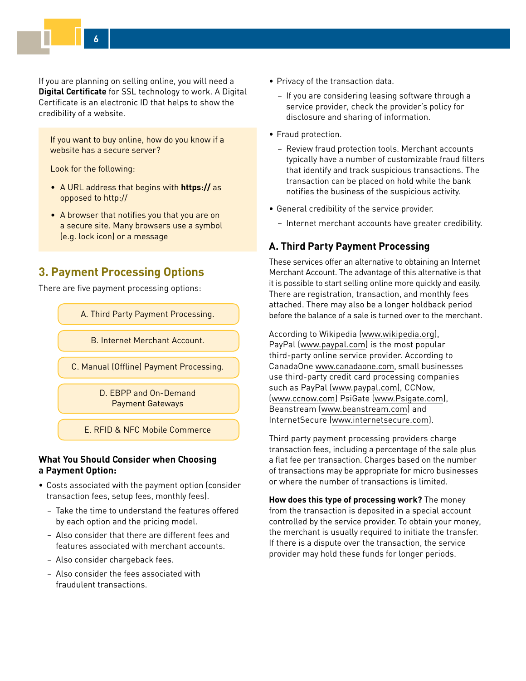If you are planning on selling online, you will need a **Digital Certificate** for SSL technology to work. A Digital Certificate is an electronic ID that helps to show the credibility of a website.

If you want to buy online, how do you know if a website has a secure server?

Look for the following:

- A URL address that begins with **https://** as opposed to http://
- A browser that notifies you that you are on a secure site. Many browsers use a symbol (e.g. lock icon) or a message

# **3. Payment Processing Options**

There are five payment processing options:

A. Third Party Payment Processing.

B. Internet Merchant Account.

C. Manual (Offline) Payment Processing.

D. EBPP and On-Demand Payment Gateways

E. RFID & NFC Mobile Commerce

## **What You Should Consider when Choosing a Payment Option:**

- Costs associated with the payment option (consider transaction fees, setup fees, monthly fees).
	- Take the time to understand the features offered by each option and the pricing model.
	- Also consider that there are different fees and features associated with merchant accounts.
	- Also consider chargeback fees.
	- Also consider the fees associated with fraudulent transactions.
- Privacy of the transaction data.
	- If you are considering leasing software through a service provider, check the provider's policy for disclosure and sharing of information.
- Fraud protection.
	- Review fraud protection tools. Merchant accounts typically have a number of customizable fraud filters that identify and track suspicious transactions. The transaction can be placed on hold while the bank notifies the business of the suspicious activity.
- General credibility of the service provider.
	- Internet merchant accounts have greater credibility.

## **A. Third Party Payment Processing**

These services offer an alternative to obtaining an Internet Merchant Account. The advantage of this alternative is that it is possible to start selling online more quickly and easily. There are registration, transaction, and monthly fees attached. There may also be a longer holdback period before the balance of a sale is turned over to the merchant.

According to Wikipedia ([www.wikipedia.org](http://www.wikipedia.org)), PayPal ([www.paypal.com\)](http://www.paypal.com) is the most popular third-party online service provider. According to CanadaOne [www.canadaone.com](http://www.canadaone.com), small businesses use third-party credit card processing companies such as PayPal ([www.paypal.com\)](http://www.paypal.com), CCNow, ([www.ccnow.com](http://www.ccnow.com)) PsiGate [\(www.Psigate.com](http://www.Psigate.com)), Beanstream ([www.beanstream.com](http://www.beanstream.com)) and InternetSecure ([www.internetsecure.com](http://www.internetsecure.com)).

Third party payment processing providers charge transaction fees, including a percentage of the sale plus a flat fee per transaction. Charges based on the number of transactions may be appropriate for micro businesses or where the number of transactions is limited.

**How does this type of processing work?** The money from the transaction is deposited in a special account controlled by the service provider. To obtain your money, the merchant is usually required to initiate the transfer. If there is a dispute over the transaction, the service provider may hold these funds for longer periods.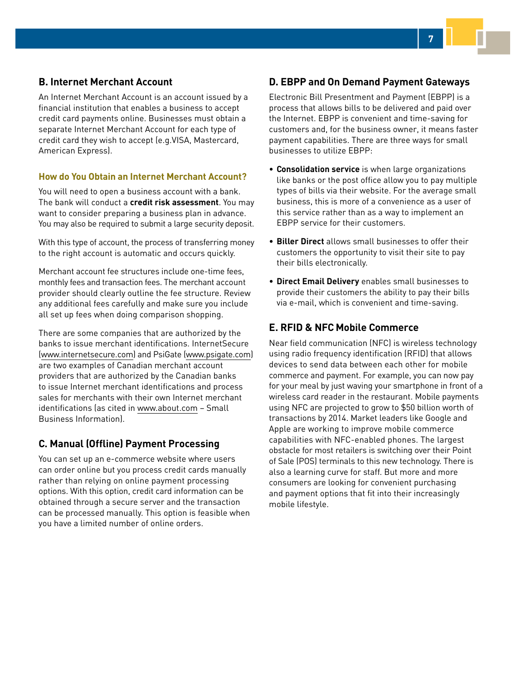## **B. Internet Merchant Account**

An Internet Merchant Account is an account issued by a financial institution that enables a business to accept credit card payments online. Businesses must obtain a separate Internet Merchant Account for each type of credit card they wish to accept (e.g.VISA, Mastercard, American Express).

## **How do You Obtain an Internet Merchant Account?**

You will need to open a business account with a bank. The bank will conduct a **credit risk assessment**. You may want to consider preparing a business plan in advance. You may also be required to submit a large security deposit.

With this type of account, the process of transferring money to the right account is automatic and occurs quickly.

Merchant account fee structures include one-time fees, monthly fees and transaction fees. The merchant account provider should clearly outline the fee structure. Review any additional fees carefully and make sure you include all set up fees when doing comparison shopping.

There are some companies that are authorized by the banks to issue merchant identifications. InternetSecure ([www.internetsecure.com](http://www.internetsecure.com)) and PsiGate ([www.psigate.com](http://www.psigate.com)) are two examples of Canadian merchant account providers that are authorized by the Canadian banks to issue Internet merchant identifications and process sales for merchants with their own Internet merchant identifications (as cited in [www.about.com](http://www.about.com) – Small Business Information).

# **C. Manual (Offline) Payment Processing**

You can set up an e-commerce website where users can order online but you process credit cards manually rather than relying on online payment processing options. With this option, credit card information can be obtained through a secure server and the transaction can be processed manually. This option is feasible when you have a limited number of online orders.

# **D. EBPP and On Demand Payment Gateways**

**7**

Electronic Bill Presentment and Payment (EBPP) is a process that allows bills to be delivered and paid over the Internet. EBPP is convenient and time-saving for customers and, for the business owner, it means faster payment capabilities. There are three ways for small businesses to utilize EBPP:

- **Consolidation service** is when large organizations like banks or the post office allow you to pay multiple types of bills via their website. For the average small business, this is more of a convenience as a user of this service rather than as a way to implement an EBPP service for their customers.
- **Biller Direct** allows small businesses to offer their customers the opportunity to visit their site to pay their bills electronically.
- **Direct Email Delivery** enables small businesses to provide their customers the ability to pay their bills via e-mail, which is convenient and time-saving.

# **E. RFID & NFC Mobile Commerce**

Near field communication (NFC) is wireless technology using radio frequency identification (RFID) that allows devices to send data between each other for mobile commerce and payment. For example, you can now pay for your meal by just waving your smartphone in front of a wireless card reader in the restaurant. Mobile payments using NFC are projected to grow to \$50 billion worth of transactions by 2014. Market leaders like Google and Apple are working to improve mobile commerce capabilities with NFC-enabled phones. The largest obstacle for most retailers is switching over their Point of Sale (POS) terminals to this new technology. There is also a learning curve for staff. But more and more consumers are looking for convenient purchasing and payment options that fit into their increasingly mobile lifestyle.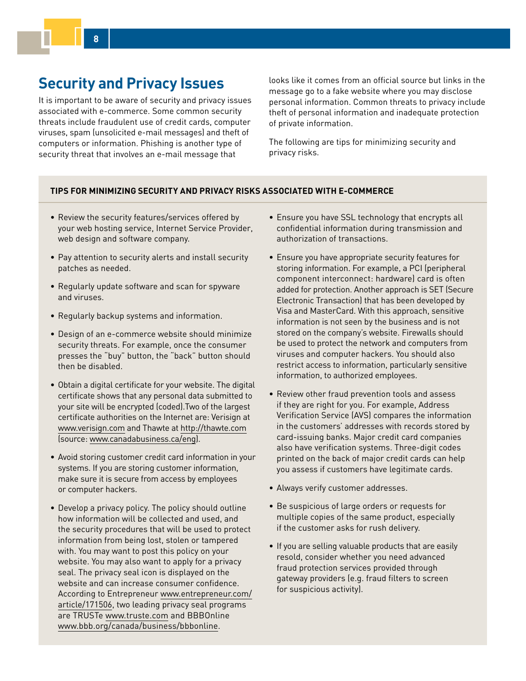# <span id="page-7-0"></span>**Security and Privacy Issues**

It is important to be aware of security and privacy issues associated with e-commerce. Some common security threats include fraudulent use of credit cards, computer viruses, spam (unsolicited e-mail messages) and theft of computers or information. Phishing is another type of security threat that involves an e-mail message that

looks like it comes from an official source but links in the message go to a fake website where you may disclose personal information. Common threats to privacy include theft of personal information and inadequate protection of private information.

The following are tips for minimizing security and privacy risks.

#### **TIPS FOR MINIMIZING SECURITY AND PRIVACY RISKS ASSOCIATED WITH E-COMMERCE**

- Review the security features/services offered by your web hosting service, Internet Service Provider, web design and software company.
- Pay attention to security alerts and install security patches as needed.
- Regularly update software and scan for spyware and viruses.
- Regularly backup systems and information.
- Design of an e-commerce website should minimize security threats. For example, once the consumer presses the "buy" button, the "back" button should then be disabled.
- Obtain a digital certificate for your website. The digital certificate shows that any personal data submitted to your site will be encrypted (coded).Two of the largest certificate authorities on the Internet are: Verisign at [www.verisign.com](http://www.verisign.com/) and Thawte at [http://thawte.com](http://thawte.com/) (source: [www.canadabusiness.ca/eng](http://www.canadabusiness.ca/eng)).
- Avoid storing customer credit card information in your systems. If you are storing customer information, make sure it is secure from access by employees or computer hackers.
- Develop a privacy policy. The policy should outline how information will be collected and used, and the security procedures that will be used to protect information from being lost, stolen or tampered with. You may want to post this policy on your website. You may also want to apply for a privacy seal. The privacy seal icon is displayed on the website and can increase consumer confidence. [According to Entrepreneur www.entrepreneur.com/](www.entrepreneur.com/article/171506) article/171506, two leading privacy seal programs are TRUSTe [www.truste.com](http://www.truste.com) and BBBOnline [www.bbb.org/canada/business/bbbonline](http://www.bbb.org/canada/business/bbbonline).
- Ensure you have SSL technology that encrypts all confidential information during transmission and authorization of transactions.
- Ensure you have appropriate security features for storing information. For example, a PCI (peripheral component interconnect: hardware) card is often added for protection. Another approach is SET (Secure Electronic Transaction) that has been developed by Visa and MasterCard. With this approach, sensitive information is not seen by the business and is not stored on the company's website. Firewalls should be used to protect the network and computers from viruses and computer hackers. You should also restrict access to information, particularly sensitive information, to authorized employees.
- Review other fraud prevention tools and assess if they are right for you. For example, Address Verification Service (AVS) compares the information in the customers' addresses with records stored by card-issuing banks. Major credit card companies also have verification systems. Three-digit codes printed on the back of major credit cards can help you assess if customers have legitimate cards.
- Always verify customer addresses.
- Be suspicious of large orders or requests for multiple copies of the same product, especially if the customer asks for rush delivery.
- If you are selling valuable products that are easily resold, consider whether you need advanced fraud protection services provided through gateway providers (e.g. fraud filters to screen for suspicious activity).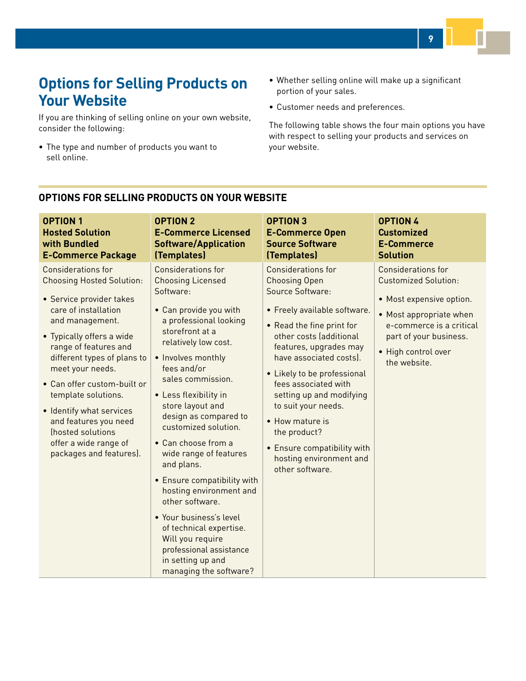# <span id="page-8-0"></span>**Options for Selling Products on Your Website**

If you are thinking of selling online on your own website, consider the following:

- The type and number of products you want to sell online.
- Whether selling online will make up a significant portion of your sales.
- Customer needs and preferences.

The following table shows the four main options you have with respect to selling your products and services on your website.

**9**

| <b>OPTION 1</b>                                                                                                                                                                                                                                                                                                                                                                                                                   | <b>OPTION 2</b>                                                                                                                                                                                                                                                                                                                                                                                                                                                                                                                                                                                                           | <b>OPTION 3</b>                                                                                                                                                                                                                                                                                                                                                                                                                              | <b>OPTION 4</b>                                                                                                                                                                                              |
|-----------------------------------------------------------------------------------------------------------------------------------------------------------------------------------------------------------------------------------------------------------------------------------------------------------------------------------------------------------------------------------------------------------------------------------|---------------------------------------------------------------------------------------------------------------------------------------------------------------------------------------------------------------------------------------------------------------------------------------------------------------------------------------------------------------------------------------------------------------------------------------------------------------------------------------------------------------------------------------------------------------------------------------------------------------------------|----------------------------------------------------------------------------------------------------------------------------------------------------------------------------------------------------------------------------------------------------------------------------------------------------------------------------------------------------------------------------------------------------------------------------------------------|--------------------------------------------------------------------------------------------------------------------------------------------------------------------------------------------------------------|
| <b>Hosted Solution</b>                                                                                                                                                                                                                                                                                                                                                                                                            | <b>E-Commerce Licensed</b>                                                                                                                                                                                                                                                                                                                                                                                                                                                                                                                                                                                                | <b>E-Commerce Open</b>                                                                                                                                                                                                                                                                                                                                                                                                                       | <b>Customized</b>                                                                                                                                                                                            |
| with Bundled                                                                                                                                                                                                                                                                                                                                                                                                                      | <b>Software/Application</b>                                                                                                                                                                                                                                                                                                                                                                                                                                                                                                                                                                                               | <b>Source Software</b>                                                                                                                                                                                                                                                                                                                                                                                                                       | <b>E-Commerce</b>                                                                                                                                                                                            |
| <b>E-Commerce Package</b>                                                                                                                                                                                                                                                                                                                                                                                                         | (Templates)                                                                                                                                                                                                                                                                                                                                                                                                                                                                                                                                                                                                               | (Templates)                                                                                                                                                                                                                                                                                                                                                                                                                                  | <b>Solution</b>                                                                                                                                                                                              |
| <b>Considerations for</b><br><b>Choosing Hosted Solution:</b><br>• Service provider takes<br>care of installation<br>and management.<br>• Typically offers a wide<br>range of features and<br>different types of plans to<br>meet your needs.<br>• Can offer custom-built or<br>template solutions.<br>• Identify what services<br>and features you need<br>(hosted solutions<br>offer a wide range of<br>packages and features). | <b>Considerations for</b><br><b>Choosing Licensed</b><br>Software:<br>• Can provide you with<br>a professional looking<br>storefront at a<br>relatively low cost.<br>• Involves monthly<br>fees and/or<br>sales commission.<br>• Less flexibility in<br>store layout and<br>design as compared to<br>customized solution.<br>• Can choose from a<br>wide range of features<br>and plans.<br>• Ensure compatibility with<br>hosting environment and<br>other software.<br>· Your business's level<br>of technical expertise.<br>Will you require<br>professional assistance<br>in setting up and<br>managing the software? | <b>Considerations for</b><br><b>Choosing Open</b><br>Source Software:<br>• Freely available software.<br>• Read the fine print for<br>other costs (additional<br>features, upgrades may<br>have associated costs).<br>• Likely to be professional<br>fees associated with<br>setting up and modifying<br>to suit your needs.<br>• How mature is<br>the product?<br>• Ensure compatibility with<br>hosting environment and<br>other software. | <b>Considerations for</b><br><b>Customized Solution:</b><br>• Most expensive option.<br>• Most appropriate when<br>e-commerce is a critical<br>part of your business.<br>• High control over<br>the website. |

## **OPTIONS FOR SELLING PRODUCTS ON YOUR WEBSITE**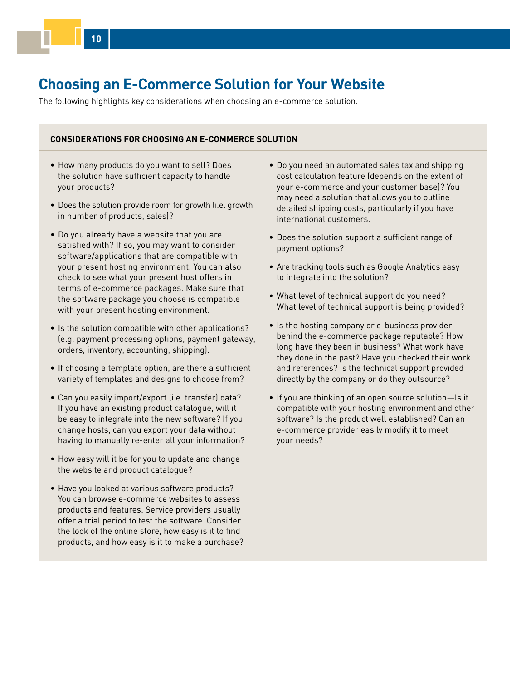# <span id="page-9-0"></span>**Choosing an E-Commerce Solution for Your Website**

The following highlights key considerations when choosing an e-commerce solution.

### **CONSIDERATIONS FOR CHOOSING AN E-COMMERCE SOLUTION**

- How many products do you want to sell? Does the solution have sufficient capacity to handle your products?
- Does the solution provide room for growth (i.e. growth in number of products, sales)?
- Do you already have a website that you are satisfied with? If so, you may want to consider software/applications that are compatible with your present hosting environment. You can also check to see what your present host offers in terms of e-commerce packages. Make sure that the software package you choose is compatible with your present hosting environment.
- Is the solution compatible with other applications? (e.g. payment processing options, payment gateway, orders, inventory, accounting, shipping).
- If choosing a template option, are there a sufficient variety of templates and designs to choose from?
- Can you easily import/export (i.e. transfer) data? If you have an existing product catalogue, will it be easy to integrate into the new software? If you change hosts, can you export your data without having to manually re-enter all your information?
- How easy will it be for you to update and change the website and product catalogue?
- Have you looked at various software products? You can browse e-commerce websites to assess products and features. Service providers usually offer a trial period to test the software. Consider the look of the online store, how easy is it to find products, and how easy is it to make a purchase?
- Do you need an automated sales tax and shipping cost calculation feature (depends on the extent of your e-commerce and your customer base)? You may need a solution that allows you to outline detailed shipping costs, particularly if you have international customers.
- Does the solution support a sufficient range of payment options?
- Are tracking tools such as Google Analytics easy to integrate into the solution?
- What level of technical support do you need? What level of technical support is being provided?
- Is the hosting company or e-business provider behind the e-commerce package reputable? How long have they been in business? What work have they done in the past? Have you checked their work and references? Is the technical support provided directly by the company or do they outsource?
- If you are thinking of an open source solution—Is it compatible with your hosting environment and other software? Is the product well established? Can an e-commerce provider easily modify it to meet your needs?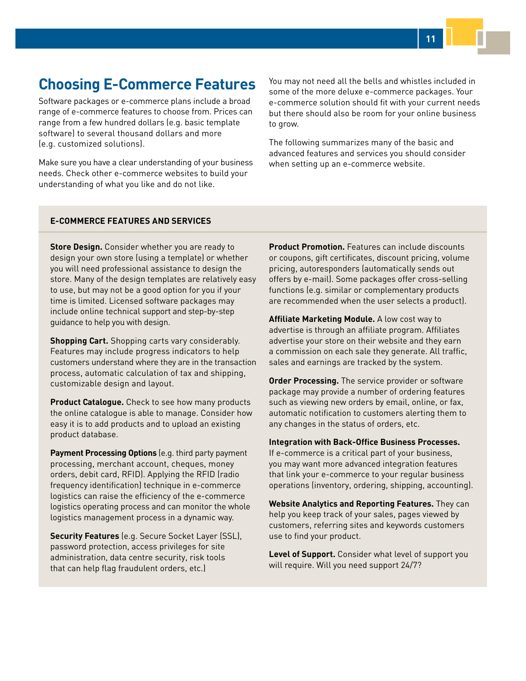# <span id="page-10-0"></span>**Choosing E-Commerce Features**

Software packages or e-commerce plans include a broad range of e-commerce features to choose from. Prices can range from a few hundred dollars (e.g. basic template software) to several thousand dollars and more (e.g. customized solutions).

Make sure you have a clear understanding of your business needs. Check other e-commerce websites to build your understanding of what you like and do not like.

You may not need all the bells and whistles included in some of the more deluxe e-commerce packages. Your e-commerce solution should fit with your current needs but there should also be room for your online business to grow.

**11**

The following summarizes many of the basic and advanced features and services you should consider when setting up an e-commerce website.

#### **E-COMMERCE FEATURES AND SERVICES**

**Store Design.** Consider whether you are ready to design your own store (using a template) or whether you will need professional assistance to design the store. Many of the design templates are relatively easy to use, but may not be a good option for you if your time is limited. Licensed software packages may include online technical support and step-by-step guidance to help you with design.

**Shopping Cart.** Shopping carts vary considerably. Features may include progress indicators to help customers understand where they are in the transaction process, automatic calculation of tax and shipping, customizable design and layout.

**Product Catalogue.** Check to see how many products the online catalogue is able to manage. Consider how easy it is to add products and to upload an existing product database.

**Payment Processing Options** (e.g. third party payment processing, merchant account, cheques, money orders, debit card, RFID). Applying the RFID (radio frequency identification) technique in e-commerce logistics can raise the efficiency of the e-commerce logistics operating process and can monitor the whole logistics management process in a dynamic way.

**Security Features** (e.g. Secure Socket Layer (SSL), password protection, access privileges for site administration, data centre security, risk tools that can help flag fraudulent orders, etc.)

**Product Promotion.** Features can include discounts or coupons, gift certificates, discount pricing, volume pricing, autoresponders (automatically sends out offers by e-mail). Some packages offer cross-selling functions (e.g. similar or complementary products are recommended when the user selects a product).

**Affiliate Marketing Module.** A low cost way to advertise is through an affiliate program. Affiliates advertise your store on their website and they earn a commission on each sale they generate. All traffic, sales and earnings are tracked by the system.

**Order Processing.** The service provider or software package may provide a number of ordering features such as viewing new orders by email, online, or fax, automatic notification to customers alerting them to any changes in the status of orders, etc.

**Integration with Back-Office Business Processes.** If e-commerce is a critical part of your business, you may want more advanced integration features that link your e-commerce to your regular business

operations (inventory, ordering, shipping, accounting).

**Website Analytics and Reporting Features.** They can help you keep track of your sales, pages viewed by customers, referring sites and keywords customers use to find your product.

**Level of Support.** Consider what level of support you will require. Will you need support 24/7?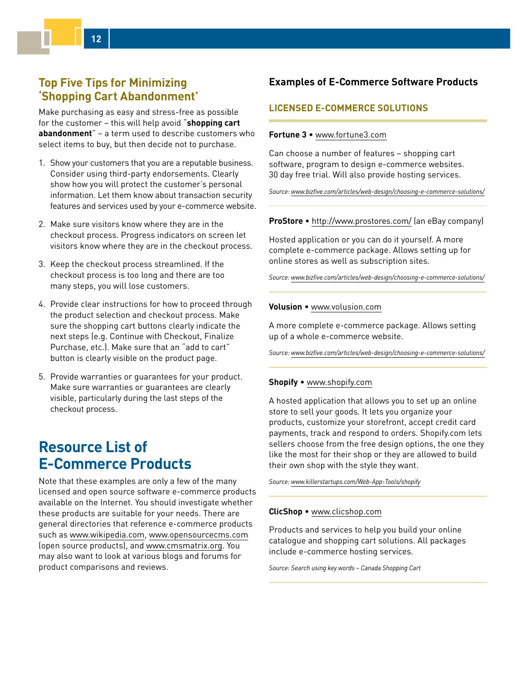# <span id="page-11-0"></span>**Top Five Tips for Minimizing 'Shopping Cart Abandonment'**

Make purchasing as easy and stress-free as possible for the customer – this will help avoid "**shopping cart abandonment**" – a term used to describe customers who select items to buy, but then decide not to purchase.

- 1. Show your customers that you are a reputable business. Consider using third-party endorsements. Clearly show how you will protect the customer's personal information. Let them know about transaction security features and services used by your e-commerce website.
- 2. Make sure visitors know where they are in the checkout process. Progress indicators on screen let visitors know where they are in the checkout process.
- 3. Keep the checkout process streamlined. If the checkout process is too long and there are too many steps, you will lose customers.
- 4. Provide clear instructions for how to proceed through the product selection and checkout process. Make sure the shopping cart buttons clearly indicate the next steps (e.g. Continue with Checkout, Finalize Purchase, etc.). Make sure that an "add to cart" button is clearly visible on the product page.
- 5. Provide warranties or guarantees for your product. Make sure warranties or guarantees are clearly visible, particularly during the last steps of the checkout process.

# **Resource List of E-Commerce Products**

Note that these examples are only a few of the many licensed and open source software e-commerce products available on the Internet. You should investigate whether these products are suitable for your needs. There are general directories that reference e-commerce products such as [www.wikipedia.com](http://www.wikipedia.com), [www.opensourcecms.com](http://www.opensourcecms.com/) (open source products), and [www.cmsmatrix.org](http://www.cmsmatrix.org/). You may also want to look at various blogs and forums for product comparisons and reviews.

## **Examples of E-Commerce Software Products**

## **LICENSED E-COMMERCE SOLUTIONS**

#### **Fortune 3** • [www.fortune3.com](http://www.fortune3.com)

Can choose a number of features – shopping cart software, program to design e-commerce websites. 30 day free trial. Will also provide hosting services.

*Source: [www.bizfive.com/articles/web-design/choosing-e-commerce-solutions/](http://www.bizfive.com/articles/web-design/choosing-e-commerce-solutions/ )*

#### **ProStore** • [http://www.prostores.com/](http://www.prostores.com/ ) (an eBay company)

Hosted application or you can do it yourself. A more complete e-commerce package. Allows setting up for online stores as well as subscription sites.

*Source: [www.bizfive.com/articles/web-design/choosing-e-commerce-solutions/](http://www.bizfive.com/articles/web-design/choosing-e-commerce-solutions/)*

#### **Volusion** • [www.volusion.com](http://www.volusion.com)

A more complete e-commerce package. Allows setting up of a whole e-commerce website.

*Source: [www.bizfive.com/articles/web-design/choosing-e-commerce-solutions/](http://www.bizfive.com/articles/web-design/choosing-e-commerce-solutions/ )*

#### **Shopify** • [www.shopify.com](http://www.shopify.com/)

A hosted application that allows you to set up an online store to sell your goods. It lets you organize your products, customize your storefront, accept credit card payments, track and respond to orders. Shopify.com lets sellers choose from the free design options, the one they like the most for their shop or they are allowed to build their own shop with the style they want.

*Source: [www.killerstartups.com/Web-App-Tools/shopify](http://www.killerstartups.com/web-app-tools/shopify)*

#### **ClicShop** • [www.clicshop.com](http://www.clicshop.com)

Products and services to help you build your online catalogue and shopping cart solutions. All packages include e-commerce hosting services.

*Source: Search using key words – Canada Shopping Cart*

**12**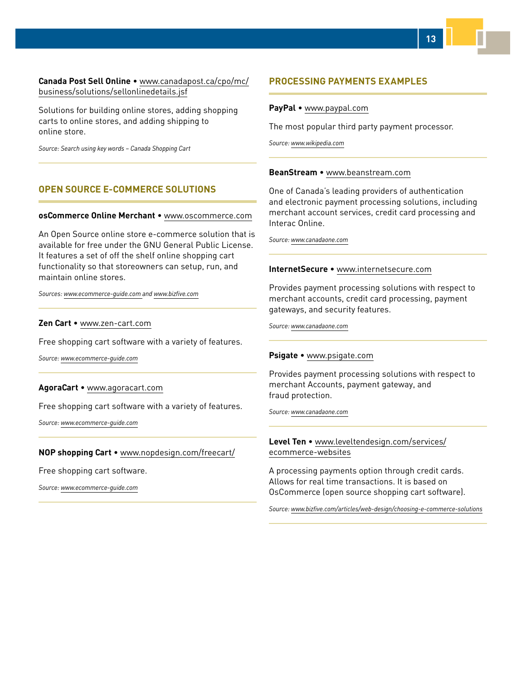### **Canada Post Sell Online** • www.canadapost.ca/cpo/mc/ [business/solutions/sellonlinedetails.jsf](www.canadapost.ca/cpo/mc/business/solutions/sellonlinedetails.jsf)

Solutions for building online stores, adding shopping carts to online stores, and adding shipping to online store.

*Source: Search using key words – Canada Shopping Cart*

### **OPEN SOURCE E-COMMERCE SOLUTIONS**

#### **osCommerce Online Merchant** • [www.oscommerce.com](http://www.oscommerce.com/ )

An Open Source online store e-commerce solution that is available for free under the GNU General Public License. It features a set of off the shelf online shopping cart functionality so that storeowners can setup, run, and maintain online stores.

*Sources: [www.ecommerce-guide.com a](http://www.ecommerce-guide.com/ )nd [www.bizfive.com](http://www.bizfive.com/)*

#### **Zen Cart** • [www.zen-cart.com](http://www.zen-cart.com/ )

Free shopping cart software with a variety of features.

*Source: [www.ecommerce-guide.com](http://www.ecommerce-guide.com)*

#### **AgoraCart** • [www.agoracart.com](http://www.agoracart.com/)

Free shopping cart software with a variety of features.

*Source: [www.ecommerce-guide.com](http://www.ecommerce-guide.com/ )*

#### **NOP shopping Cart** • [www.nopdesign.com/freecart/](http://www.nopdesign.com/freecart/)

Free shopping cart software.

*Source: [www.ecommerce-guide.com](http://www.ecommerce-guide.com/ )*

### **PROCESSING PAYMENTS EXAMPLES**

#### **PayPal** • [www.paypal.com](http://www.paypal.com/ )

The most popular third party payment processor.

*Source: [www.wikipedia.com](http://www.wikipedia.com/)*

#### **BeanStream** • [www.beanstream.com](http://www.beanstream.com/)

One of Canada's leading providers of authentication and electronic payment processing solutions, including merchant account services, credit card processing and Interac Online.

*Source: [www.canadaone.com](http://www.canadaone.com)*

#### **InternetSecure** • [www.internetsecure.com](http://www.internetsecure.com/)

Provides payment processing solutions with respect to merchant accounts, credit card processing, payment gateways, and security features.

*Source: [www.canadaone.com](http://www.canadaone.com/)*

#### **Psigate** • [www.psigate.com](http://www.psigate.com/)

Provides payment processing solutions with respect to merchant Accounts, payment gateway, and fraud protection.

*Source: [www.canadaone.com](http://www.canadaone.com/)*

#### **Level Ten** • [www.leveltendesign.com/services/](http://www.leveltendesign.com/services/ecommerce-websites) ecommerce-websites

A processing payments option through credit cards. Allows for real time transactions. It is based on OsCommerce (open source shopping cart software).

*Source: [www.bizfive.com/articles/web-design/choosing-e-commerce-solutions](http://www.bizfive.com/articles/web-design/choosing-e-commerce-solutions)*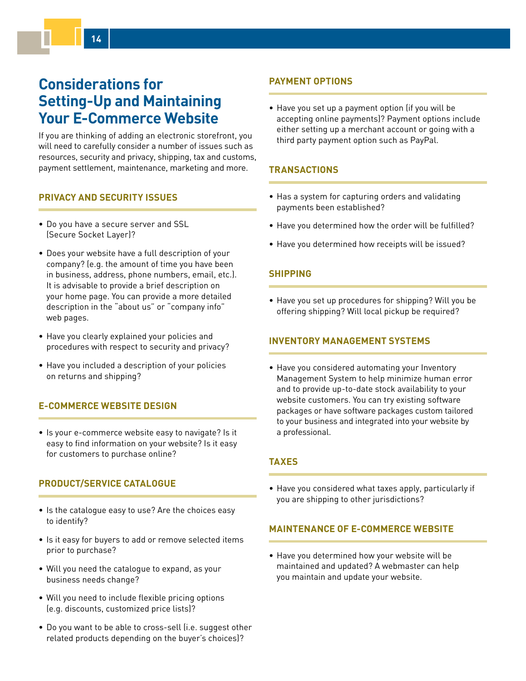# <span id="page-13-0"></span>**Considerations for Setting-Up and Maintaining Your E-Commerce Website**

If you are thinking of adding an electronic storefront, you will need to carefully consider a number of issues such as resources, security and privacy, shipping, tax and customs, payment settlement, maintenance, marketing and more.

## **PRIVACY AND SECURITY ISSUES**

**14**

- Do you have a secure server and SSL (Secure Socket Layer)?
- Does your website have a full description of your company? (e.g. the amount of time you have been in business, address, phone numbers, email, etc.). It is advisable to provide a brief description on your home page. You can provide a more detailed description in the "about us" or "company info" web pages.
- Have you clearly explained your policies and procedures with respect to security and privacy?
- Have you included a description of your policies on returns and shipping?

### **E-COMMERCE WEBSITE DESIGN**

• Is your e-commerce website easy to navigate? Is it easy to find information on your website? Is it easy for customers to purchase online?

## **PRODUCT/SERVICE CATALOGUE**

- Is the catalogue easy to use? Are the choices easy to identify?
- Is it easy for buyers to add or remove selected items prior to purchase?
- Will you need the catalogue to expand, as your business needs change?
- Will you need to include flexible pricing options (e.g. discounts, customized price lists)?
- Do you want to be able to cross-sell (i.e. suggest other related products depending on the buyer's choices)?

## **PAYMENT OPTIONS**

• Have you set up a payment option (if you will be accepting online payments)? Payment options include either setting up a merchant account or going with a third party payment option such as PayPal.

## **TRANSACTIONS**

- Has a system for capturing orders and validating payments been established?
- Have you determined how the order will be fulfilled?
- Have you determined how receipts will be issued?

### **SHIPPING**

• Have you set up procedures for shipping? Will you be offering shipping? Will local pickup be required?

### **INVENTORY MANAGEMENT SYSTEMS**

• Have you considered automating your Inventory Management System to help minimize human error and to provide up-to-date stock availability to your website customers. You can try existing software packages or have software packages custom tailored to your business and integrated into your website by a professional.

### **TAXES**

• Have you considered what taxes apply, particularly if you are shipping to other jurisdictions?

### **MAINTENANCE OF E-COMMERCE WEBSITE**

• Have you determined how your website will be maintained and updated? A webmaster can help you maintain and update your website.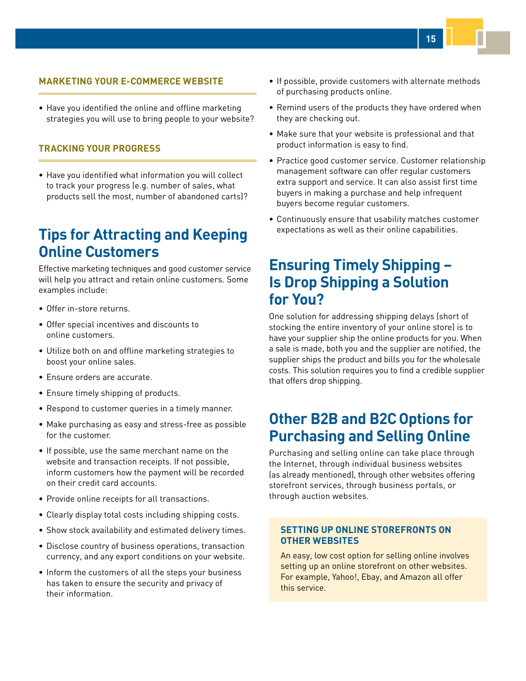### <span id="page-14-0"></span>**MARKETING YOUR E-COMMERCE WEBSITE**

• Have you identified the online and offline marketing strategies you will use to bring people to your website?

### **TRACKING YOUR PROGRESS**

• Have you identified what information you will collect to track your progress (e.g. number of sales, what products sell the most, number of abandoned carts)?

# **Tips for Attracting and Keeping Online Customers**

Effective marketing techniques and good customer service will help you attract and retain online customers. Some examples include:

- Offer in-store returns.
- Offer special incentives and discounts to online customers.
- Utilize both on and offline marketing strategies to boost your online sales.
- Ensure orders are accurate.
- Ensure timely shipping of products.
- Respond to customer queries in a timely manner.
- Make purchasing as easy and stress-free as possible for the customer.
- If possible, use the same merchant name on the website and transaction receipts. If not possible, inform customers how the payment will be recorded on their credit card accounts.
- Provide online receipts for all transactions.
- Clearly display total costs including shipping costs.
- Show stock availability and estimated delivery times.
- Disclose country of business operations, transaction currency, and any export conditions on your website.
- Inform the customers of all the steps your business has taken to ensure the security and privacy of their information.
- If possible, provide customers with alternate methods of purchasing products online.
- Remind users of the products they have ordered when they are checking out.
- Make sure that your website is professional and that product information is easy to find.
- Practice good customer service. Customer relationship management software can offer regular customers extra support and service. It can also assist first time buyers in making a purchase and help infrequent buyers become regular customers.
- Continuously ensure that usability matches customer expectations as well as their online capabilities.

# **Ensuring Timely Shipping – Is Drop Shipping a Solution for You?**

One solution for addressing shipping delays (short of stocking the entire inventory of your online store) is to have your supplier ship the online products for you. When a sale is made, both you and the supplier are notified, the supplier ships the product and bills you for the wholesale costs. This solution requires you to find a credible supplier that offers drop shipping.

# **Other B2B and B2C Options for Purchasing and Selling Online**

Purchasing and selling online can take place through the Internet, through individual business websites (as already mentioned), through other websites offering storefront services, through business portals, or through auction websites.

### **SETTING UP ONLINE STOREFRONTS ON OTHER WEBSITES**

An easy, low cost option for selling online involves setting up an online storefront on other websites. For example, Yahoo!, Ebay, and Amazon all offer this service.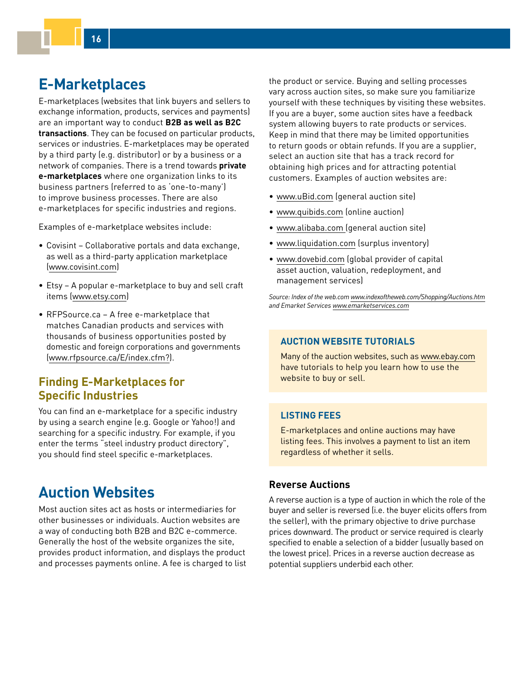# <span id="page-15-0"></span>**E-Marketplaces**

**16**

E-marketplaces (websites that link buyers and sellers to exchange information, products, services and payments) are an important way to conduct **B2B as well as B2C transactions**. They can be focused on particular products, services or industries. E-marketplaces may be operated by a third party (e.g. distributor) or by a business or a network of companies. There is a trend towards **private e-marketplaces** where one organization links to its business partners (referred to as 'one-to-many') to improve business processes. There are also e-marketplaces for specific industries and regions.

Examples of e-marketplace websites include:

- Covisint Collaborative portals and data exchange, as well as a third-party application marketplace ([www.covisint.com\)](http://www.covisint.com/ )
- Etsy A popular e-marketplace to buy and sell craft items [\(www.etsy.com](http://www.etsy.com/))
- RFPSource.ca A free e-marketplace that matches Canadian products and services with thousands of business opportunities posted by domestic and foreign corporations and governments ([www.rfpsource.ca/E/index.cfm?](http://www.rfpsource.ca/E/index.cfm?)).

# **Finding E-Marketplaces for Specific Industries**

You can find an e-marketplace for a specific industry by using a search engine (e.g. Google or Yahoo!) and searching for a specific industry. For example, if you enter the terms "steel industry product directory", you should find steel specific e-marketplaces.

# **Auction Websites**

Most auction sites act as hosts or intermediaries for other businesses or individuals. Auction websites are a way of conducting both B2B and B2C e-commerce. Generally the host of the website organizes the site, provides product information, and displays the product and processes payments online. A fee is charged to list the product or service. Buying and selling processes vary across auction sites, so make sure you familiarize yourself with these techniques by visiting these websites. If you are a buyer, some auction sites have a feedback system allowing buyers to rate products or services. Keep in mind that there may be limited opportunities to return goods or obtain refunds. If you are a supplier, select an auction site that has a track record for obtaining high prices and for attracting potential customers. Examples of auction websites are:

- [www.uBid.com](http://www.uBid.com/) (general auction site)
- [www.quibids.com](http://www.quibids.com) (online auction)
- [www.alibaba.com](http://www.alibaba.com/) (general auction site)
- [www.liquidation.com](http://www.liquidation.com/) (surplus inventory)
- [www.dovebid.com](http://www.dovebid.com/) (global provider of capital asset auction, valuation, redeployment, and management services)

*Source: Index of the web.com [www.indexoftheweb.com/Shopping/Auctions.htm](http://www.indexoftheweb.com/Shopping/Auctions.htm) and Emarket Services [www.emarketservices.com](http://www.emarketservices.com)*

## **AUCTION WEBSITE TUTORIALS**

Many of the auction websites, such as [www.ebay.com](http://www.ebay.com/) have tutorials to help you learn how to use the website to buy or sell.

## **LISTING FEES**

E-marketplaces and online auctions may have listing fees. This involves a payment to list an item regardless of whether it sells.

### **Reverse Auctions**

A reverse auction is a type of auction in which the role of the buyer and seller is reversed (i.e. the buyer elicits offers from the seller), with the primary objective to drive purchase prices downward. The product or service required is clearly specified to enable a selection of a bidder (usually based on the lowest price). Prices in a reverse auction decrease as potential suppliers underbid each other.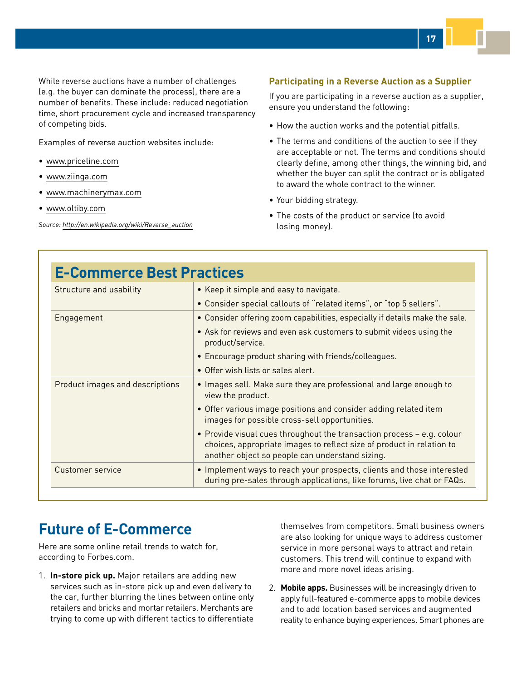<span id="page-16-0"></span>While reverse auctions have a number of challenges (e.g. the buyer can dominate the process), there are a number of benefits. These include: reduced negotiation time, short procurement cycle and increased transparency of competing bids.

Examples of reverse auction websites include:

- [www.priceline.com](http://www.priceline.com/)
- [www.ziinga.com](http://www.ziinga.com)
- [www.machinerymax.com](http://www.machinerymax.com)
- [www.oltiby.com](http://www.oltiby.com/)

*Source: [http://en.wikipedia.org/wiki/Reverse\\_auction](http://en.wikipedia.org/wiki/Reverse_auction)*

### **Participating in a Reverse Auction as a Supplier**

If you are participating in a reverse auction as a supplier, ensure you understand the following:

- How the auction works and the potential pitfalls.
- The terms and conditions of the auction to see if they are acceptable or not. The terms and conditions should clearly define, among other things, the winning bid, and whether the buyer can split the contract or is obligated to award the whole contract to the winner.
- Your bidding strategy.
- The costs of the product or service (to avoid losing money).

| <b>E-Commerce Best Practices</b> |                                                                                                                                                                                                    |  |
|----------------------------------|----------------------------------------------------------------------------------------------------------------------------------------------------------------------------------------------------|--|
| Structure and usability          | • Keep it simple and easy to navigate.                                                                                                                                                             |  |
|                                  | • Consider special callouts of "related items", or "top 5 sellers".                                                                                                                                |  |
| Engagement                       | • Consider offering zoom capabilities, especially if details make the sale.                                                                                                                        |  |
|                                  | • Ask for reviews and even ask customers to submit videos using the<br>product/service.                                                                                                            |  |
|                                  | • Encourage product sharing with friends/colleagues.                                                                                                                                               |  |
|                                  | • Offer wish lists or sales alert.                                                                                                                                                                 |  |
| Product images and descriptions  | • Images sell. Make sure they are professional and large enough to<br>view the product.                                                                                                            |  |
|                                  | • Offer various image positions and consider adding related item<br>images for possible cross-sell opportunities.                                                                                  |  |
|                                  | • Provide visual cues throughout the transaction process - e.g. colour<br>choices, appropriate images to reflect size of product in relation to<br>another object so people can understand sizing. |  |
| Customer service                 | • Implement ways to reach your prospects, clients and those interested<br>during pre-sales through applications, like forums, live chat or FAQs.                                                   |  |

# **Future of E-Commerce**

Here are some online retail trends to watch for, according to Forbes.com.

1. **In-store pick up.** Major retailers are adding new services such as in-store pick up and even delivery to the car, further blurring the lines between online only retailers and bricks and mortar retailers. Merchants are trying to come up with different tactics to differentiate

themselves from competitors. Small business owners are also looking for unique ways to address customer service in more personal ways to attract and retain customers. This trend will continue to expand with more and more novel ideas arising.

2. **Mobile apps.** Businesses will be increasingly driven to apply full-featured e-commerce apps to mobile devices and to add location based services and augmented reality to enhance buying experiences. Smart phones are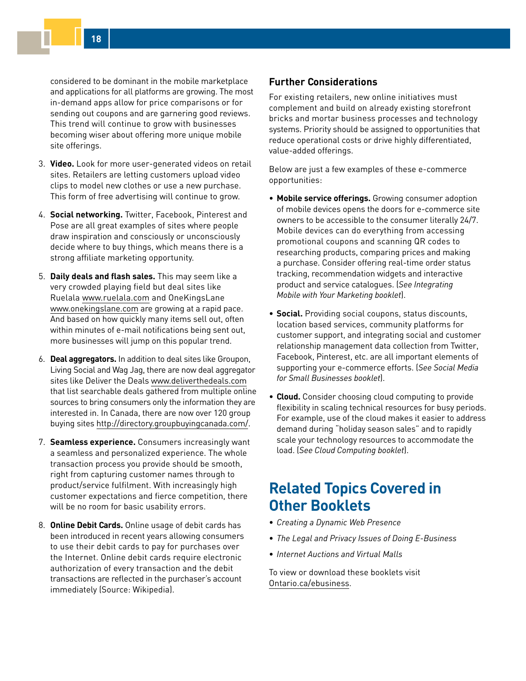<span id="page-17-0"></span>considered to be dominant in the mobile marketplace and applications for all platforms are growing. The most in-demand apps allow for price comparisons or for sending out coupons and are garnering good reviews. This trend will continue to grow with businesses becoming wiser about offering more unique mobile site offerings.

- 3. **Video.** Look for more user-generated videos on retail sites. Retailers are letting customers upload video clips to model new clothes or use a new purchase. This form of free advertising will continue to grow.
- 4. **Social networking.** Twitter, Facebook, Pinterest and Pose are all great examples of sites where people draw inspiration and consciously or unconsciously decide where to buy things, which means there is a strong affiliate marketing opportunity.
- 5. **Daily deals and flash sales.** This may seem like a very crowded playing field but deal sites like Ruelala [www.ruelala.com](http://www.ruelala.com) and OneKingsLane [www.onekingslane.com](https://www.onekingslane.com) are growing at a rapid pace. And based on how quickly many items sell out, often within minutes of e-mail notifications being sent out, more businesses will jump on this popular trend.
- 6. **Deal aggregators.** In addition to deal sites like Groupon, Living Social and Wag Jag, there are now deal aggregator sites like Deliver the Deals [www.deliverthedeals.com](http://www.deliverthedeals.com) that list searchable deals gathered from multiple online sources to bring consumers only the information they are interested in. In Canada, there are now over 120 group buying sites<http://directory.groupbuyingcanada.com/>.
- 7. **Seamless experience.** Consumers increasingly want a seamless and personalized experience. The whole transaction process you provide should be smooth, right from capturing customer names through to product/service fulfilment. With increasingly high customer expectations and fierce competition, there will be no room for basic usability errors.
- 8. **Online Debit Cards.** Online usage of debit cards has been introduced in recent years allowing consumers to use their debit cards to pay for purchases over the Internet. Online debit cards require electronic authorization of every transaction and the debit transactions are reflected in the purchaser's account immediately (Source: Wikipedia).

## **Further Considerations**

For existing retailers, new online initiatives must complement and build on already existing storefront bricks and mortar business processes and technology systems. Priority should be assigned to opportunities that reduce operational costs or drive highly differentiated, value-added offerings.

Below are just a few examples of these e-commerce opportunities:

- **Mobile service offerings.** Growing consumer adoption of mobile devices opens the doors for e-commerce site owners to be accessible to the consumer literally 24/7. Mobile devices can do everything from accessing promotional coupons and scanning QR codes to researching products, comparing prices and making a purchase. Consider offering real-time order status tracking, recommendation widgets and interactive product and service catalogues. (*See Integrating Mobile with Your Marketing booklet*).
- **Social.** Providing social coupons, status discounts, location based services, community platforms for customer support, and integrating social and customer relationship management data collection from Twitter, Facebook, Pinterest, etc. are all important elements of supporting your e-commerce efforts. (*See Social Media for Small Businesses booklet*).
- **Cloud.** Consider choosing cloud computing to provide flexibility in scaling technical resources for busy periods. For example, use of the cloud makes it easier to address demand during "holiday season sales" and to rapidly scale your technology resources to accommodate the load. (*See Cloud Computing booklet*).

# **Related Topics Covered in Other Booklets**

- *Creating a Dynamic Web Presence*
- *The Legal and Privacy Issues of Doing E-Business*
- *Internet Auctions and Virtual Malls*

To view or download these booklets visit [Ontario.ca/ebusiness](http://Ontario.ca/ebusiness).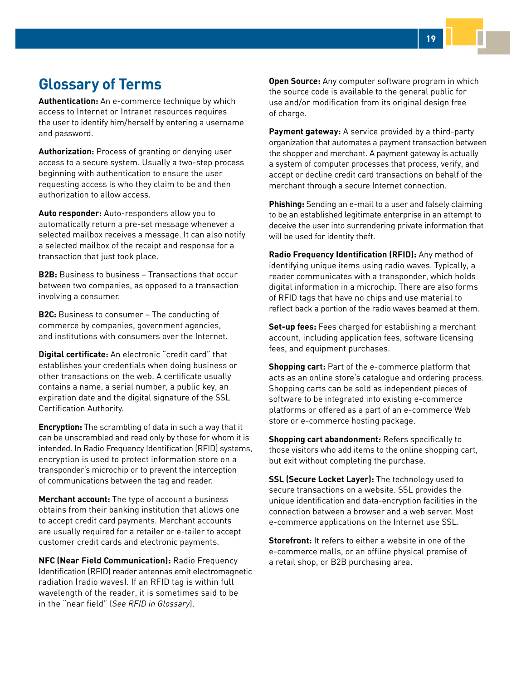<span id="page-18-0"></span>**Authentication:** An e-commerce technique by which access to Internet or Intranet resources requires the user to identify him/herself by entering a username and password.

**Authorization:** Process of granting or denying user access to a secure system. Usually a two-step process beginning with authentication to ensure the user requesting access is who they claim to be and then authorization to allow access.

**Auto responder:** Auto-responders allow you to automatically return a pre-set message whenever a selected mailbox receives a message. It can also notify a selected mailbox of the receipt and response for a transaction that just took place.

**B2B:** Business to business – Transactions that occur between two companies, as opposed to a transaction involving a consumer.

**B2C:** Business to consumer – The conducting of commerce by companies, government agencies, and institutions with consumers over the Internet.

**Digital certificate:** An electronic "credit card" that establishes your credentials when doing business or other transactions on the web. A certificate usually contains a name, a serial number, a public key, an expiration date and the digital signature of the SSL Certification Authority.

**Encryption:** The scrambling of data in such a way that it can be unscrambled and read only by those for whom it is intended. In Radio Frequency Identification (RFID) systems, encryption is used to protect information store on a transponder's microchip or to prevent the interception of communications between the tag and reader.

**Merchant account:** The type of account a business obtains from their banking institution that allows one to accept credit card payments. Merchant accounts are usually required for a retailer or e-tailer to accept customer credit cards and electronic payments.

**NFC (Near Field Communication):** Radio Frequency Identification (RFID) reader antennas emit electromagnetic radiation (radio waves). If an RFID tag is within full wavelength of the reader, it is sometimes said to be in the "near field" (*See RFID in Glossary*).

**Open Source:** Any computer software program in which the source code is available to the general public for use and/or modification from its original design free of charge.

**Payment gateway:** A service provided by a third-party organization that automates a payment transaction between the shopper and merchant. A payment gateway is actually a system of computer processes that process, verify, and accept or decline credit card transactions on behalf of the merchant through a secure Internet connection.

**Phishing:** Sending an e-mail to a user and falsely claiming to be an established legitimate enterprise in an attempt to deceive the user into surrendering private information that will be used for identity theft.

**Radio Frequency Identification (RFID):** Any method of identifying unique items using radio waves. Typically, a reader communicates with a transponder, which holds digital information in a microchip. There are also forms of RFID tags that have no chips and use material to reflect back a portion of the radio waves beamed at them.

**Set-up fees:** Fees charged for establishing a merchant account, including application fees, software licensing fees, and equipment purchases.

**Shopping cart:** Part of the e-commerce platform that acts as an online store's catalogue and ordering process. Shopping carts can be sold as independent pieces of software to be integrated into existing e-commerce platforms or offered as a part of an e-commerce Web store or e-commerce hosting package.

**Shopping cart abandonment:** Refers specifically to those visitors who add items to the online shopping cart, but exit without completing the purchase.

**SSL (Secure Locket Layer):** The technology used to secure transactions on a website. SSL provides the unique identification and data-encryption facilities in the connection between a browser and a web server. Most e-commerce applications on the Internet use SSL.

**Storefront:** It refers to either a website in one of the e-commerce malls, or an offline physical premise of a retail shop, or B2B purchasing area.